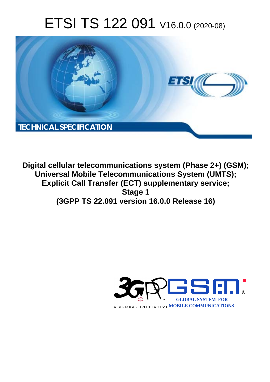# ETSI TS 122 091 V16.0.0 (2020-08)



**Digital cellular telecommunications system (Phase 2+) (GSM); Universal Mobile Telecommunications System (UMTS); Explicit Call Transfer (ECT) supplementary service; Stage 1 (3GPP TS 22.091 version 16.0.0 Release 16)** 

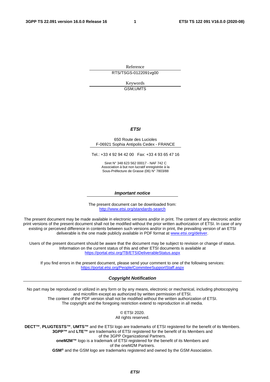Reference RTS/TSGS-0122091vg00

> Keywords GSM,UMTS

#### *ETSI*

#### 650 Route des Lucioles F-06921 Sophia Antipolis Cedex - FRANCE

Tel.: +33 4 92 94 42 00 Fax: +33 4 93 65 47 16

Siret N° 348 623 562 00017 - NAF 742 C Association à but non lucratif enregistrée à la Sous-Préfecture de Grasse (06) N° 7803/88

#### *Important notice*

The present document can be downloaded from: <http://www.etsi.org/standards-search>

The present document may be made available in electronic versions and/or in print. The content of any electronic and/or print versions of the present document shall not be modified without the prior written authorization of ETSI. In case of any existing or perceived difference in contents between such versions and/or in print, the prevailing version of an ETSI deliverable is the one made publicly available in PDF format at [www.etsi.org/deliver](http://www.etsi.org/deliver).

Users of the present document should be aware that the document may be subject to revision or change of status. Information on the current status of this and other ETSI documents is available at <https://portal.etsi.org/TB/ETSIDeliverableStatus.aspx>

If you find errors in the present document, please send your comment to one of the following services: <https://portal.etsi.org/People/CommiteeSupportStaff.aspx>

#### *Copyright Notification*

No part may be reproduced or utilized in any form or by any means, electronic or mechanical, including photocopying and microfilm except as authorized by written permission of ETSI. The content of the PDF version shall not be modified without the written authorization of ETSI. The copyright and the foregoing restriction extend to reproduction in all media.

> © ETSI 2020. All rights reserved.

**DECT™**, **PLUGTESTS™**, **UMTS™** and the ETSI logo are trademarks of ETSI registered for the benefit of its Members. **3GPP™** and **LTE™** are trademarks of ETSI registered for the benefit of its Members and of the 3GPP Organizational Partners. **oneM2M™** logo is a trademark of ETSI registered for the benefit of its Members and of the oneM2M Partners. **GSM®** and the GSM logo are trademarks registered and owned by the GSM Association.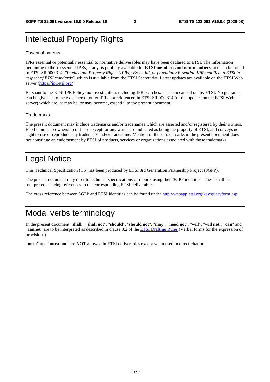# Intellectual Property Rights

#### Essential patents

IPRs essential or potentially essential to normative deliverables may have been declared to ETSI. The information pertaining to these essential IPRs, if any, is publicly available for **ETSI members and non-members**, and can be found in ETSI SR 000 314: *"Intellectual Property Rights (IPRs); Essential, or potentially Essential, IPRs notified to ETSI in respect of ETSI standards"*, which is available from the ETSI Secretariat. Latest updates are available on the ETSI Web server [\(https://ipr.etsi.org/](https://ipr.etsi.org/)).

Pursuant to the ETSI IPR Policy, no investigation, including IPR searches, has been carried out by ETSI. No guarantee can be given as to the existence of other IPRs not referenced in ETSI SR 000 314 (or the updates on the ETSI Web server) which are, or may be, or may become, essential to the present document.

#### **Trademarks**

The present document may include trademarks and/or tradenames which are asserted and/or registered by their owners. ETSI claims no ownership of these except for any which are indicated as being the property of ETSI, and conveys no right to use or reproduce any trademark and/or tradename. Mention of those trademarks in the present document does not constitute an endorsement by ETSI of products, services or organizations associated with those trademarks.

# Legal Notice

This Technical Specification (TS) has been produced by ETSI 3rd Generation Partnership Project (3GPP).

The present document may refer to technical specifications or reports using their 3GPP identities. These shall be interpreted as being references to the corresponding ETSI deliverables.

The cross reference between 3GPP and ETSI identities can be found under<http://webapp.etsi.org/key/queryform.asp>.

# Modal verbs terminology

In the present document "**shall**", "**shall not**", "**should**", "**should not**", "**may**", "**need not**", "**will**", "**will not**", "**can**" and "**cannot**" are to be interpreted as described in clause 3.2 of the [ETSI Drafting Rules](https://portal.etsi.org/Services/editHelp!/Howtostart/ETSIDraftingRules.aspx) (Verbal forms for the expression of provisions).

"**must**" and "**must not**" are **NOT** allowed in ETSI deliverables except when used in direct citation.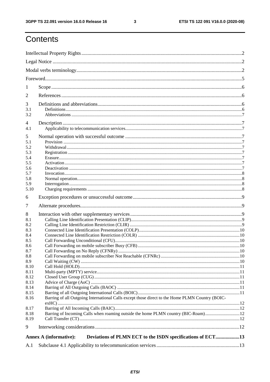$\mathbf{3}$ 

# Contents

| 1            |                                                                                                 |  |  |  |  |  |
|--------------|-------------------------------------------------------------------------------------------------|--|--|--|--|--|
| 2            |                                                                                                 |  |  |  |  |  |
| 3            |                                                                                                 |  |  |  |  |  |
| 3.1          |                                                                                                 |  |  |  |  |  |
| 3.2          |                                                                                                 |  |  |  |  |  |
| 4            |                                                                                                 |  |  |  |  |  |
| 4.1          |                                                                                                 |  |  |  |  |  |
| 5            |                                                                                                 |  |  |  |  |  |
| 5.1<br>5.2   |                                                                                                 |  |  |  |  |  |
| 5.3          |                                                                                                 |  |  |  |  |  |
| 5.4          |                                                                                                 |  |  |  |  |  |
| 5.5          |                                                                                                 |  |  |  |  |  |
| 5.6          |                                                                                                 |  |  |  |  |  |
| 5.7          |                                                                                                 |  |  |  |  |  |
| 5.8          |                                                                                                 |  |  |  |  |  |
| 5.9<br>5.10  |                                                                                                 |  |  |  |  |  |
| 6            |                                                                                                 |  |  |  |  |  |
|              |                                                                                                 |  |  |  |  |  |
| 7            |                                                                                                 |  |  |  |  |  |
| 8            |                                                                                                 |  |  |  |  |  |
| 8.1          |                                                                                                 |  |  |  |  |  |
| 8.2<br>8.3   |                                                                                                 |  |  |  |  |  |
| 8.4          |                                                                                                 |  |  |  |  |  |
| 8.5          |                                                                                                 |  |  |  |  |  |
| 8.6          |                                                                                                 |  |  |  |  |  |
| 8.7          |                                                                                                 |  |  |  |  |  |
| 8.8          |                                                                                                 |  |  |  |  |  |
| 8.9          |                                                                                                 |  |  |  |  |  |
| 8.10         |                                                                                                 |  |  |  |  |  |
| 8.11         |                                                                                                 |  |  |  |  |  |
| 8.12         |                                                                                                 |  |  |  |  |  |
| 8.13<br>8.14 |                                                                                                 |  |  |  |  |  |
| 8.15         |                                                                                                 |  |  |  |  |  |
| 8.16         | Barring of all Outgoing International Calls except those direct to the Home PLMN Country (BOIC- |  |  |  |  |  |
| 8.17         |                                                                                                 |  |  |  |  |  |
| 8.18         |                                                                                                 |  |  |  |  |  |
| 8.19         |                                                                                                 |  |  |  |  |  |
| 9            |                                                                                                 |  |  |  |  |  |
|              |                                                                                                 |  |  |  |  |  |
|              | Deviations of PLMN ECT to the ISDN specifications of ECT13<br><b>Annex A (informative):</b>     |  |  |  |  |  |
| A.1          |                                                                                                 |  |  |  |  |  |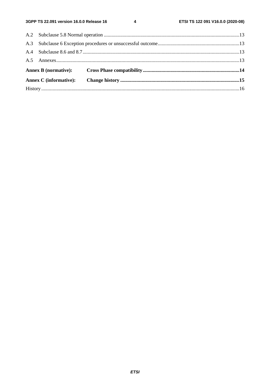$\overline{\mathbf{4}}$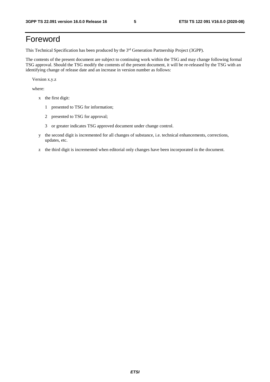# Foreword

This Technical Specification has been produced by the 3<sup>rd</sup> Generation Partnership Project (3GPP).

The contents of the present document are subject to continuing work within the TSG and may change following formal TSG approval. Should the TSG modify the contents of the present document, it will be re-released by the TSG with an identifying change of release date and an increase in version number as follows:

Version x.y.z

where:

- x the first digit:
	- 1 presented to TSG for information;
	- 2 presented to TSG for approval;
	- 3 or greater indicates TSG approved document under change control.
- y the second digit is incremented for all changes of substance, i.e. technical enhancements, corrections, updates, etc.
- z the third digit is incremented when editorial only changes have been incorporated in the document.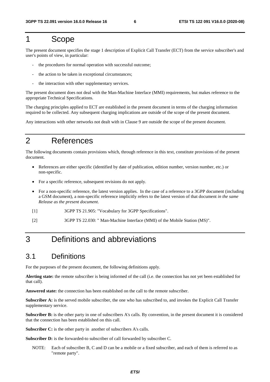#### 1 Scope

The present document specifies the stage 1 description of Explicit Call Transfer (ECT) from the service subscriber's and user's points of view, in particular:

- the procedures for normal operation with successful outcome;
- the action to be taken in exceptional circumstances:
- the interaction with other supplementary services.

The present document does not deal with the Man-Machine Interface (MMI) requirements, but makes reference to the appropriate Technical Specifications.

The charging principles applied to ECT are established in the present document in terms of the charging information required to be collected. Any subsequent charging implications are outside of the scope of the present document.

Any interactions with other networks not dealt with in Clause 9 are outside the scope of the present document.

# 2 References

The following documents contain provisions which, through reference in this text, constitute provisions of the present document.

- References are either specific (identified by date of publication, edition number, version number, etc.) or non-specific.
- For a specific reference, subsequent revisions do not apply.
- For a non-specific reference, the latest version applies. In the case of a reference to a 3GPP document (including a GSM document), a non-specific reference implicitly refers to the latest version of that document *in the same Release as the present document*.
- [1] 3GPP TS 21.905: "Vocabulary for 3GPP Specifications".
- [2] 3GPP TS 22.030: " Man-Machine Interface (MMI) of the Mobile Station (MS)".

# 3 Definitions and abbreviations

#### 3.1 Definitions

For the purposes of the present document, the following definitions apply.

**Alerting state:** the remote subscriber is being informed of the call (i.e. the connection has not yet been established for that call).

**Answered state:** the connection has been established on the call to the remote subscriber.

**Subscriber A:** is the served mobile subscriber, the one who has subscribed to, and invokes the Explicit Call Transfer supplementary service.

**Subscriber B:** is the other party in one of subscribers A's calls. By convention, in the present document it is considered that the connection has been established on this call.

**Subscriber C:** is the other party in another of subscribers A's calls.

**Subscriber D:** is the forwarded-to subscriber of call forwarded by subscriber C.

NOTE: Each of subscriber B, C and D can be a mobile or a fixed subscriber, and each of them is referred to as "remote party".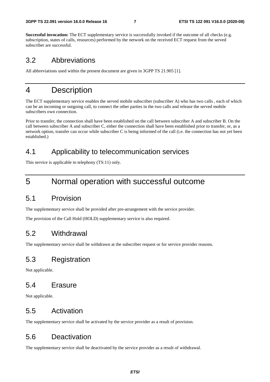**Successful invocation:** The ECT supplementary service is successfully invoked if the outcome of all checks (e.g. subscription, states of calls, resources) performed by the network on the received ECT request from the served subscriber are successful.

#### 3.2 Abbreviations

All abbreviations used within the present document are given in 3GPP TS 21.905 [1].

### 4 Description

The ECT supplementary service enables the served mobile subscriber (subscriber A) who has two calls , each of which can be an incoming or outgoing call, to connect the other parties in the two calls and release the served mobile subscribers own connection.

Prior to transfer, the connection shall have been established on the call between subscriber A and subscriber B. On the call between subscriber A and subscriber C, either the connection shall have been established prior to transfer, or, as a network option, transfer can occur while subscriber C is being informed of the call (i.e. the connection has not yet been established.)

#### 4.1 Applicability to telecommunication services

This service is applicable to telephony (TS:11) only.

### 5 Normal operation with successful outcome

#### 5.1 Provision

The supplementary service shall be provided after pre-arrangement with the service provider.

The provision of the Call Hold (HOLD) supplementary service is also required.

#### 5.2 Withdrawal

The supplementary service shall be withdrawn at the subscriber request or for service provider reasons.

#### 5.3 Registration

Not applicable.

#### 5.4 Erasure

Not applicable.

#### 5.5 Activation

The supplementary service shall be activated by the service provider as a result of provision.

#### 5.6 Deactivation

The supplementary service shall be deactivated by the service provider as a result of withdrawal.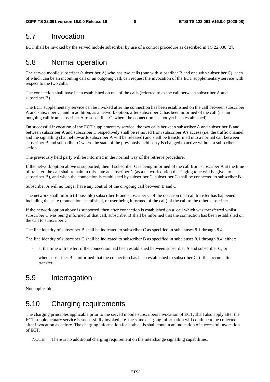#### 5.7 Invocation

ECT shall be invoked by the served mobile subscriber by use of a control procedure as described in TS 22.030 [2].

#### 5.8 Normal operation

The served mobile subscriber (subscriber A) who has two calls (one with subscriber B and one with subscriber C), each of which can be an incoming call or an outgoing call, can request the invocation of the ECT supplementary service with respect to the two calls.

The connection shall have been established on one of the calls (referred to as the call between subscriber A and subscriber B).

The ECT supplementary service can be invoked after the connection has been established on the call between subscriber A and subscriber C, and in addition, as a network option, after subscriber C has been informed of the call (i.e. an outgoing call from subscriber A to subscriber C, where the connection has not yet been established).

On successful invocation of the ECT supplementary service, the two calls between subscriber A and subscriber B and between subscriber A and subscriber C respectively shall be removed from subscriber A's access (i.e. the traffic channel and the signalling channel towards subscriber A will be released) and shall be transformed into a normal call between subscriber B and subscriber C where the state of the previously held party is changed to active without a subscriber action.

The previously held party will be informed in the normal way of the retrieve procedure.

If the network option above is supported, then if subscriber C is being informed of the call from subscriber A at the time of transfer, the call shall remain in this state at subscriber C (as a network option the ringing tone will be given to subscriber B), and when the connection is established by subscriber C, subscriber C shall be connected to subscriber B.

Subscriber A will no longer have any control of the on-going call between B and C.

The network shall inform (if possible) subscriber B and subscriber C of the occasion that call transfer has happened including the state (connection established, or user being informed of the call) of the call to the other subscriber.

If the network option above is supported, then after connection is established on a call which was transferred whilst subscriber C was being informed of that call, subscriber B shall be informed that the connection has been established on the call to subscriber C.

The line identity of subscriber B shall be indicated to subscriber C as specified in subclauses 8.1 through 8.4.

The line identity of subscriber C shall be indicated to subscriber B as specified in subclauses 8.1 through 8.4, either:

- at the time of transfer, if the connection had been established between subscriber A and subscriber C; or
- when subscriber B is informed that the connection has been established to subscriber C, if this occurs after transfer.

#### 5.9 Interrogation

Not applicable.

### 5.10 Charging requirements

The charging principles applicable prior to the served mobile subscribers invocation of ECT, shall also apply after the ECT supplementary service is successfully invoked, i.e. the same charging information will continue to be collected after invocation as before. The charging information for both calls shall contain an indication of successful invocation of ECT.

NOTE: There is no additional charging requirement on the interchange signalling capabilities.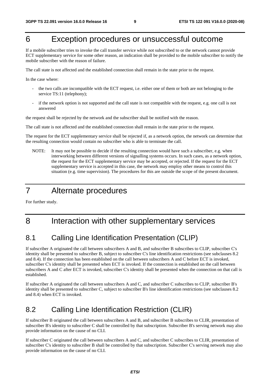# 6 Exception procedures or unsuccessful outcome

If a mobile subscriber tries to invoke the call transfer service while not subscribed to or the network cannot provide ECT supplementary service for some other reason, an indication shall be provided to the mobile subscriber to notify the mobile subscriber with the reason of failure.

The call state is not affected and the established connection shall remain in the state prior to the request.

In the case where:

- the two calls are incompatible with the ECT request, i.e. either one of them or both are not belonging to the service TS:11 (telephony);
- if the network option is not supported and the call state is not compatible with the request, e.g. one call is not answered

the request shall be rejected by the network and the subscriber shall be notified with the reason.

The call state is not affected and the established connection shall remain in the state prior to the request.

The request for the ECT supplementary service shall be rejected if, as a network option, the network can determine that the resulting connection would contain no subscriber who is able to terminate the call.

NOTE: It may not be possible to decide if the resulting connection would have such a subscriber, e.g. when interworking between different versions of signalling systems occurs. In such cases, as a network option, the request for the ECT supplementary service may be accepted, or rejected. If the request for the ECT supplementary service is accepted in this case, the network may employ other means to control this situation (e.g. time supervision). The procedures for this are outside the scope of the present document.

# 7 Alternate procedures

For further study.

# 8 Interaction with other supplementary services

### 8.1 Calling Line Identification Presentation (CLIP)

If subscriber A originated the call between subscribers A and B, and subscriber B subscribes to CLIP, subscriber C's identity shall be presented to subscriber B, subject to subscriber C's line identification restrictions (see subclauses 8.2 and 8.4). If the connection has been established on the call between subscribers A and C before ECT is invoked, subscriber C's identity shall be presented when ECT is invoked. If the connection is established on the call between subscribers A and C after ECT is invoked, subscriber C's identity shall be presented when the connection on that call is established.

If subscriber A originated the call between subscribers A and C, and subscriber C subscribes to CLIP, subscriber B's identity shall be presented to subscriber C, subject to subscriber B's line identification restrictions (see subclauses 8.2 and 8.4) when ECT is invoked.

### 8.2 Calling Line Identification Restriction (CLIR)

If subscriber B originated the call between subscribers A and B, and subscriber B subscribes to CLIR, presentation of subscriber B's identity to subscriber C shall be controlled by that subscription. Subscriber B's serving network may also provide information on the cause of no CLI.

If subscriber C originated the call between subscribers A and C, and subscriber C subscribes to CLIR, presentation of subscriber C's identity to subscriber B shall be controlled by that subscription. Subscriber C's serving network may also provide information on the cause of no CLI.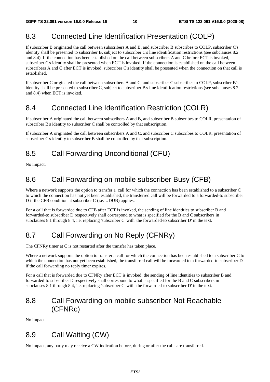### 8.3 Connected Line Identification Presentation (COLP)

If subscriber B originated the call between subscribers A and B, and subscriber B subscribes to COLP, subscriber C's identity shall be presented to subscriber B, subject to subscriber C's line identification restrictions (see subclauses 8.2 and 8.4). If the connection has been established on the call between subscribers A and C before ECT is invoked, subscriber C's identity shall be presented when ECT is invoked. If the connection is established on the call between subscribers A and C after ECT is invoked, subscriber C's identity shall be presented when the connection on that call is established.

If subscriber C originated the call between subscribers A and C, and subscriber C subscribes to COLP, subscriber B's identity shall be presented to subscriber C, subject to subscriber B's line identification restrictions (see subclauses 8.2 and 8.4) when ECT is invoked.

#### 8.4 Connected Line Identification Restriction (COLR)

If subscriber A originated the call between subscribers A and B, and subscriber B subscribes to COLR, presentation of subscriber B's identity to subscriber C shall be controlled by that subscription.

If subscriber A originated the call between subscribers A and C, and subscriber C subscribes to COLR, presentation of subscriber C's identity to subscriber B shall be controlled by that subscription.

### 8.5 Call Forwarding Unconditional (CFU)

No impact.

#### 8.6 Call Forwarding on mobile subscriber Busy (CFB)

Where a network supports the option to transfer a call for which the connection has been established to a subscriber C to which the connection has not yet been established, the transferred call will be forwarded to a forwarded-to subscriber D if the CFB condition at subscriber C (i.e. UDUB) applies.

For a call that is forwarded due to CFB after ECT is invoked, the sending of line identities to subscriber B and forwarded-to subscriber D respectively shall correspond to what is specified for the B and C subscribers in subclauses 8.1 through 8.4, i.e. replacing 'subscriber C' with 'the forwarded-to subscriber D' in the text.

# 8.7 Call Forwarding on No Reply (CFNRy)

The CFNRy timer at C is not restarted after the transfer has taken place.

Where a network supports the option to transfer a call for which the connection has been established to a subscriber C to which the connection has not yet been established, the transferred call will be forwarded to a forwarded-to subscriber D if the call forwarding no reply timer expires.

For a call that is forwarded due to CFNRy after ECT is invoked, the sending of line identities to subscriber B and forwarded-to subscriber D respectively shall correspond to what is specified for the B and C subscribers in subclauses 8.1 through 8.4, i.e. replacing 'subscriber C' with 'the forwarded-to subscriber D' in the text.

#### 8.8 Call Forwarding on mobile subscriber Not Reachable (CFNRc)

No impact.

#### 8.9 Call Waiting (CW)

No impact, any party may receive a CW indication before, during or after the calls are transferred.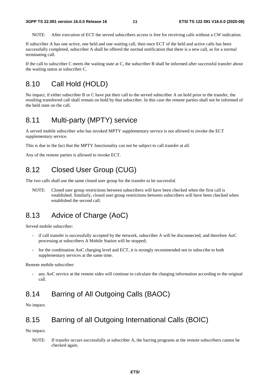NOTE: After execution of ECT the served subscribers access is free for receiving calls without a CW indication.

If subscriber A has one active, one held and one waiting call, then once ECT of the held and active calls has been successfully completed, subscriber A shall be offered the normal notification that there is a new call, as for a normal terminating call.

If the call to subscriber C meets the waiting state at C, the subscriber B shall be informed after successful transfer about the waiting status at subscriber C.

#### 8.10 Call Hold (HOLD)

No impact, if either subscriber B or C have put their call to the served subscriber A on hold prior to the transfer, the resulting transferred call shall remain on hold by that subscriber. In this case the remote parties shall not be informed of the held state on the call.

#### 8.11 Multi-party (MPTY) service

A served mobile subscriber who has invoked MPTY supplementary service is not allowed to invoke the ECT supplementary service.

This is due to the fact that the MPTY functionality can not be subject to call transfer at all.

Any of the remote parties is allowed to invoke ECT.

#### 8.12 Closed User Group (CUG)

The two calls shall use the same closed user group for the transfer to be successful.

NOTE: Closed user group restrictions between subscribers will have been checked when the first call is established. Similarly, closed user group restrictions between subscribers will have been checked when established the second call.

#### 8.13 Advice of Charge (AoC)

Served mobile subscriber:

- if call transfer is successfully accepted by the network, subscriber A will be disconnected, and therefore AoC processing at subscribers A Mobile Station will be stopped;
- for the combination AoC charging level and ECT, it is strongly recommended not to subscribe to both supplementary services at the same time.

Remote mobile subscriber:

any AoC service at the remote sides will continue to calculate the charging information according to the original call.

#### 8.14 Barring of All Outgoing Calls (BAOC)

No impact.

#### 8.15 Barring of all Outgoing International Calls (BOIC)

No impact.

NOTE: If transfer occurs successfully at subscriber A, the barring programs at the remote subscribers cannot be checked again.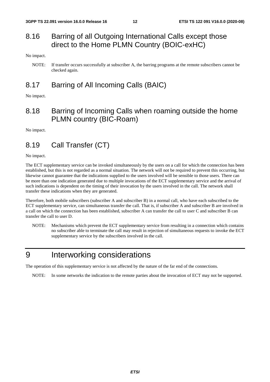#### 8.16 Barring of all Outgoing International Calls except those direct to the Home PLMN Country (BOIC-exHC)

No impact.

#### 8.17 Barring of All Incoming Calls (BAIC)

No impact.

#### 8.18 Barring of Incoming Calls when roaming outside the home PLMN country (BIC-Roam)

No impact.

### 8.19 Call Transfer (CT)

No impact.

The ECT supplementary service can be invoked simultaneously by the users on a call for which the connection has been established, but this is not regarded as a normal situation. The network will not be required to prevent this occurring, but likewise cannot guarantee that the indications supplied to the users involved will be sensible to those users. There can be more than one indication generated due to multiple invocations of the ECT supplementary service and the arrival of such indications is dependent on the timing of their invocation by the users involved in the call. The network shall transfer these indications when they are generated.

Therefore, both mobile subscribers (subscriber A and subscriber B) in a normal call, who have each subscribed to the ECT supplementary service, can simultaneous transfer the call. That is, if subscriber A and subscriber B are involved in a call on which the connection has been established, subscriber A can transfer the call to user C and subscriber B can transfer the call to user D.

NOTE: Mechanisms which prevent the ECT supplementary service from resulting in a connection which contains no subscriber able to terminate the call may result in rejection of simultaneous requests to invoke the ECT supplementary service by the subscribers involved in the call.

# 9 Interworking considerations

The operation of this supplementary service is not affected by the nature of the far end of the connections.

NOTE: In some networks the indication to the remote parties about the invocation of ECT may not be supported.

NOTE: If transfer occurs successfully at subscriber A, the barring programs at the remote subscribers cannot be checked again.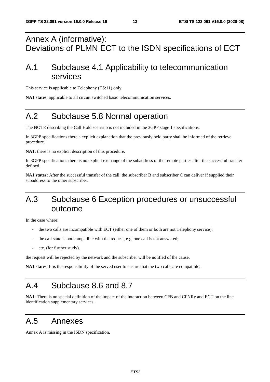# Annex A (informative): Deviations of PLMN ECT to the ISDN specifications of ECT

# A.1 Subclause 4.1 Applicability to telecommunication services

This service is applicable to Telephony (TS:11) only.

**NA1 states**: applicable to all circuit switched basic telecommunication services.

# A.2 Subclause 5.8 Normal operation

The NOTE describing the Call Hold scenario is not included in the 3GPP stage 1 specifications.

In 3GPP specifications there a explicit explanation that the previously held party shall be informed of the retrieve procedure.

**NA1:** there is no explicit description of this procedure.

In 3GPP specifications there is no explicit exchange of the subaddress of the remote parties after the successful transfer defined.

**NA1 states:** After the successful transfer of the call, the subscriber B and subscriber C can deliver if supplied their subaddress to the other subscriber.

# A.3 Subclause 6 Exception procedures or unsuccessful outcome

In the case where:

- the two calls are incompatible with ECT (either one of them or both are not Telephony service);
- the call state is not compatible with the request, e.g. one call is not answered;
- etc. (for further study).

the request will be rejected by the network and the subscriber will be notified of the cause.

**NA1 states**: It is the responsibility of the served user to ensure that the two calls are compatible.

# A.4 Subclause 8.6 and 8.7

**NA1**: There is no special definition of the impact of the interaction between CFB and CFNRy and ECT on the line identification supplementary services.

### A.5 Annexes

Annex A is missing in the ISDN specification.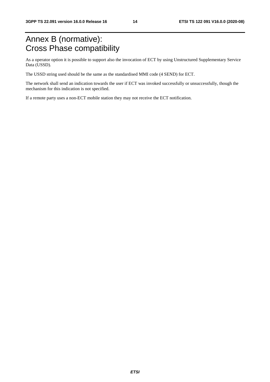# Annex B (normative): Cross Phase compatibility

As a operator option it is possible to support also the invocation of ECT by using Unstructured Supplementary Service Data (USSD).

The USSD string used should be the same as the standardised MMI code (4 SEND) for ECT.

The network shall send an indication towards the user if ECT was invoked successfully or unsuccessfully, though the mechanism for this indication is not specified.

If a remote party uses a non-ECT mobile station they may not receive the ECT notification.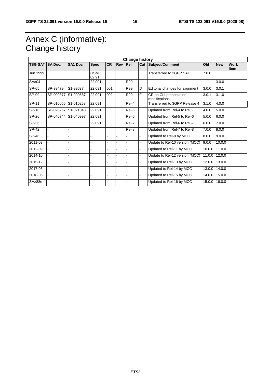# Annex C (informative): Change history

| <b>Change history</b> |                |                     |                     |           |            |       |                |                                         |        |               |                            |
|-----------------------|----------------|---------------------|---------------------|-----------|------------|-------|----------------|-----------------------------------------|--------|---------------|----------------------------|
| <b>TSG SA#</b>        | <b>SA Doc.</b> | SA <sub>1</sub> Doc | <b>Spec</b>         | <b>CR</b> | <b>Rev</b> | Rel   |                | Cat Subject/Comment                     | Old    | <b>New</b>    | <b>Work</b><br><b>Item</b> |
| Jun 1999              |                |                     | <b>GSM</b><br>02.91 |           |            |       |                | Transferred to 3GPP SA1                 | 7.0.0  |               |                            |
| SA#04                 |                |                     | 22.091              |           |            | R99   |                |                                         |        | 3.0.0         |                            |
| SP-05                 | SP-99479       | S1-99637            | 22.091              | 001       |            | R99   | D              | Editorial changes for alignment         | 3.0.0  | 3.0.1         |                            |
| SP-09                 | SP-000377      | S1-000587           | 22.091              | 002       |            | R99   | F              | CR on CLI presentation<br>modifications | 3.0.1  | 3.1.0         |                            |
| SP-11                 | SP-010065      | S1-010258           | 22.091              |           |            | Rel-4 |                | Transferred to 3GPP Release 4           | 3.1.0  | 4.0.0         |                            |
| SP-16                 |                | SP-020267 S1-021043 | 22.091              |           |            | Rel-5 |                | Updated from Rel-4 to Rel5              | 4.0.0  | 5.0.0         |                            |
| $SP-26$               |                | SP-040744 S1-040997 | 22.091              |           |            | Rel-6 |                | Updated from Rel-5 to Rel-6             | 5.0.0  | 6.0.0         |                            |
| SP-36                 |                |                     | 22.091              |           |            | Rel-7 |                | Updated from Rel-6 to Rel-7             | 6.0.0  | 7.0.0         |                            |
| SP-42                 |                |                     |                     |           |            | Rel-8 |                | Updated from Rel-7 to Rel-8             | 7.0.0  | 8.0.0         |                            |
| $SP-46$               |                |                     |                     |           |            |       | $\blacksquare$ | Updated to Rel-9 by MCC                 | 8.0.0  | 9.0.0         |                            |
| 2011-03               |                |                     |                     |           |            |       | L.             | Update to Rel-10 version (MCC)          | 9.0.0  | 10.0.0        |                            |
| 2012-09               |                |                     |                     |           |            |       | $\blacksquare$ | Updated to Rel-11 by MCC                | 10.0.0 | 11.0.0        |                            |
| 2014-10               |                |                     |                     |           |            |       | L,             | Update to Rel-12 version (MCC)          | 11.0.0 | 12.0.0        |                            |
| 2015-12               |                |                     |                     |           |            |       | ä,             | Updated to Rel-13 by MCC                | 12.0.0 | 13.0.0        |                            |
| 2017-03               |                |                     |                     |           |            |       | L.             | Updated to Rel-14 by MCC                | 13.0.0 | 14.0.0        |                            |
| 2018-06               |                |                     |                     |           |            |       | L.             | Updated to Rel-15 by MCC                | 14.0.0 | 15.0.0        |                            |
| SA#88e                |                |                     |                     |           |            |       |                | Updated to Rel-16 by MCC                |        | 15.0.0 16.0.0 |                            |